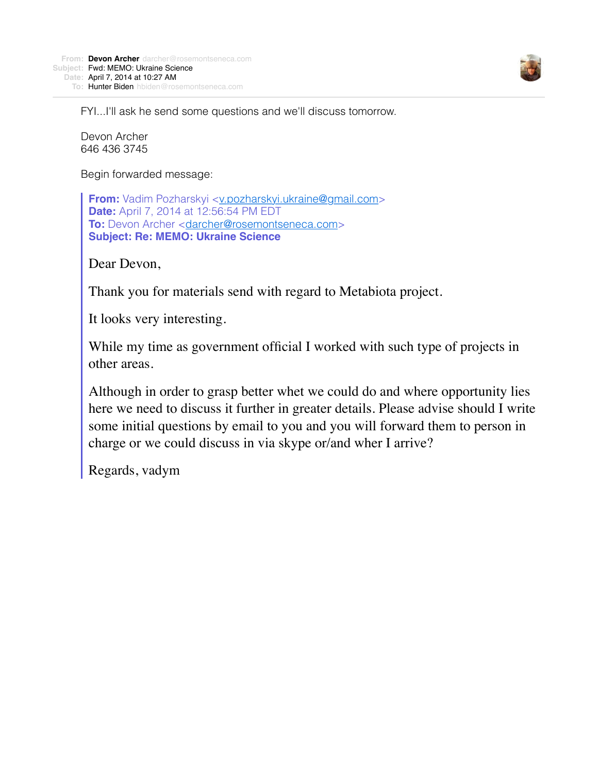

FYI...I'll ask he send some questions and we'll discuss tomorrow.

Devon Archer 646 436 3745

Begin forwarded message:

**From:** Vadim Pozharskyi <[v.pozharskyi.ukraine@gmail.com>](mailto:v.pozharskyi.ukraine@gmail.com) **Date:** April 7, 2014 at 12:56:54 PM EDT **To:** Devon Archer <[darcher@rosemontseneca.com>](mailto:darcher@rosemontseneca.com) **Subject: Re: MEMO: Ukraine Science**

Dear Devon,

Thank you for materials send with regard to Metabiota project.

It looks very interesting.

While my time as government official I worked with such type of projects in other areas.

Although in order to grasp better whet we could do and where opportunity lies here we need to discuss it further in greater details. Please advise should I write some initial questions by email to you and you will forward them to person in charge or we could discuss in via skype or/and wher I arrive?

Regards, vadym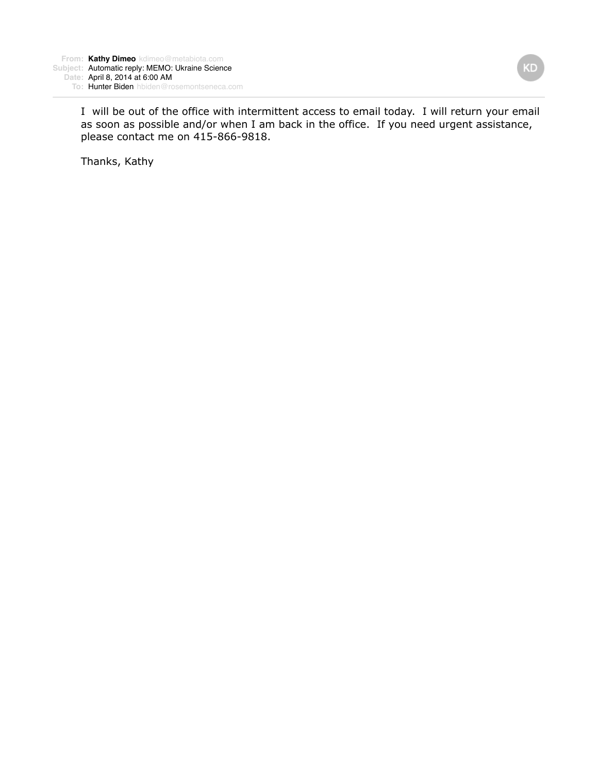I will be out of the office with intermittent access to email today. I will return your email as soon as possible and/or when I am back in the office. If you need urgent assistance, please contact me on 415-866-9818.

Thanks, Kathy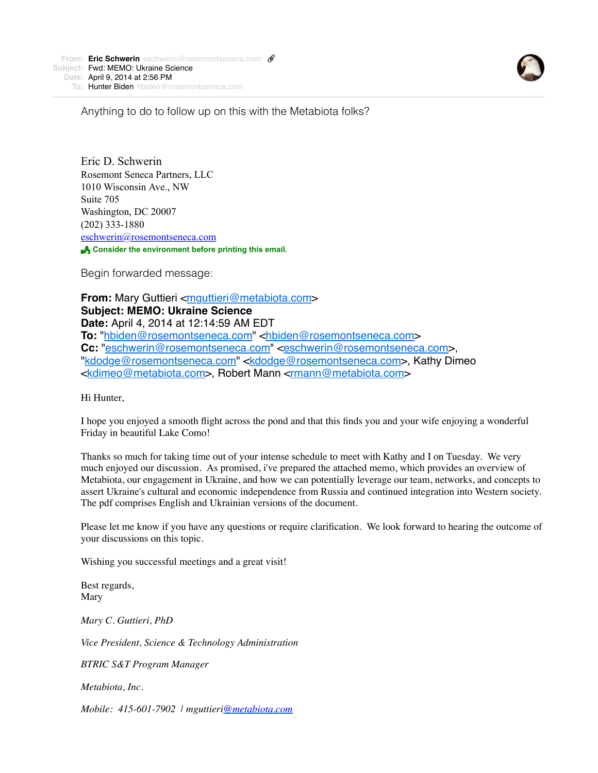

Anything to do to follow up on this with the Metabiota folks?

Eric D. Schwerin Rosemont Seneca Partners, LLC 1010 Wisconsin Ave., NW Suite 705 Washington, DC 20007 (202) 333-1880 [eschwerin@rosemontseneca.com](x-msg://59/eschwerin@obblaw.com) ! **Consider the environment before printing this email.**

Begin forwarded message:

**From:** Mary Guttieri [<mguttieri@metabiota.com](mailto:mguttieri@metabiota.com)> **Subject: MEMO: Ukraine Science Date:** April 4, 2014 at 12:14:59 AM EDT To: ["hbiden@rosemontseneca.com"](mailto:hbiden@rosemontseneca.com) [<hbiden@rosemontseneca.com](mailto:hbiden@rosemontseneca.com)> Cc: "[eschwerin@rosemontseneca.com"](mailto:eschwerin@rosemontseneca.com) [<eschwerin@rosemontseneca.com](mailto:eschwerin@rosemontseneca.com)>, "[kdodge@rosemontseneca.com"](mailto:kdodge@rosemontseneca.com) <[kdodge@rosemontseneca.com>](mailto:kdodge@rosemontseneca.com), Kathy Dimeo [<kdimeo@metabiota.com](mailto:kdimeo@metabiota.com)>, Robert Mann [<rmann@metabiota.com](mailto:rmann@metabiota.com)>

Hi Hunter,

I hope you enjoyed a smooth flight across the pond and that this finds you and your wife enjoying a wonderful Friday in beautiful Lake Como!

Thanks so much for taking time out of your intense schedule to meet with Kathy and I on Tuesday. We very much enjoyed our discussion. As promised, i've prepared the attached memo, which provides an overview of Metabiota, our engagement in Ukraine, and how we can potentially leverage our team, networks, and concepts to assert Ukraine's cultural and economic independence from Russia and continued integration into Western society. The pdf comprises English and Ukrainian versions of the document.

Please let me know if you have any questions or require clarification. We look forward to hearing the outcome of your discussions on this topic.

Wishing you successful meetings and a great visit!

Best regards, Mary

*Mary C. Guttieri, PhD*

*Vice President, Science & Technology Administration*

*BTRIC S&T Program Manager*

*Metabiota, Inc.*

*Mobile: 415-601-7902 | mguttieri[@metabiota.com](mailto:kdimeo@metabiota.com)*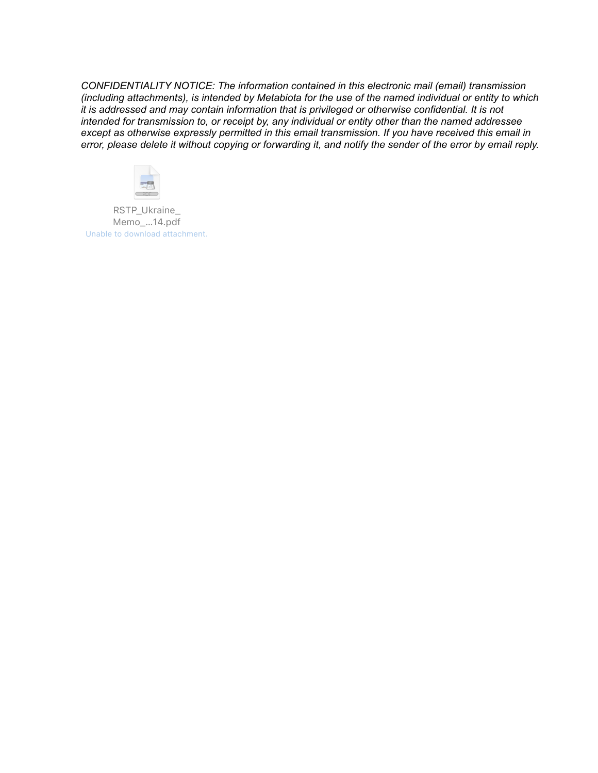*CONFIDENTIALITY NOTICE: The information contained in this electronic mail (email) transmission (including attachments), is intended by Metabiota for the use of the named individual or entity to which it is addressed and may contain information that is privileged or otherwise confidential. It is not intended for transmission to, or receipt by, any individual or entity other than the named addressee except as otherwise expressly permitted in this email transmission. If you have received this email in error, please delete it without copying or forwarding it, and notify the sender of the error by email reply.*



RSTP\_Ukraine\_ Memo\_…14.pdf Unable to download attachment.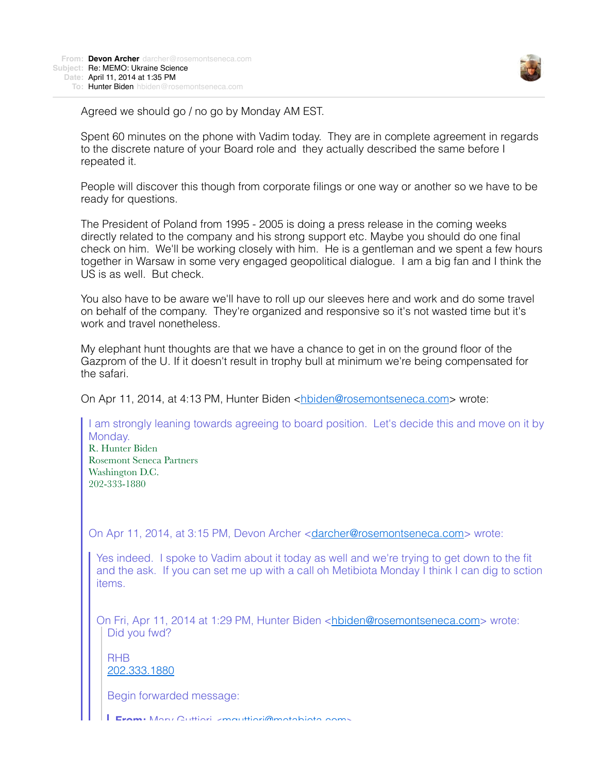

Agreed we should go / no go by Monday AM EST.

Spent 60 minutes on the phone with Vadim today. They are in complete agreement in regards to the discrete nature of your Board role and they actually described the same before I repeated it.

People will discover this though from corporate filings or one way or another so we have to be ready for questions.

The President of Poland from 1995 - 2005 is doing a press release in the coming weeks directly related to the company and his strong support etc. Maybe you should do one final check on him. We'll be working closely with him. He is a gentleman and we spent a few hours together in Warsaw in some very engaged geopolitical dialogue. I am a big fan and I think the US is as well. But check.

You also have to be aware we'll have to roll up our sleeves here and work and do some travel on behalf of the company. They're organized and responsive so it's not wasted time but it's work and travel nonetheless.

My elephant hunt thoughts are that we have a chance to get in on the ground floor of the Gazprom of the U. If it doesn't result in trophy bull at minimum we're being compensated for the safari.

On Apr 11, 2014, at 4:13 PM, Hunter Biden [<hbiden@rosemontseneca.com](mailto:hbiden@rosemontseneca.com)> wrote:

I am strongly leaning towards agreeing to board position. Let's decide this and move on it by Monday. R. Hunter Biden Rosemont Seneca Partners Washington D.C. 202-333-1880 On Apr 11, 2014, at 3:15 PM, Devon Archer <[darcher@rosemontseneca.com](mailto:darcher@rosemontseneca.com)> wrote: Yes indeed. I spoke to Vadim about it today as well and we're trying to get down to the fit and the ask. If you can set me up with a call oh Metibiota Monday I think I can dig to sction items. On Fri, Apr 11, 2014 at 1:29 PM, Hunter Biden <[hbiden@rosemontseneca.com>](mailto:hbiden@rosemontseneca.com) wrote: Did you fwd?

RHB [202.333.1880](tel:202.333.1880)

Begin forwarded message:

**From:** Mary Guttieri <[mguttieri@metabiota.com>](mailto:mguttieri@metabiota.com)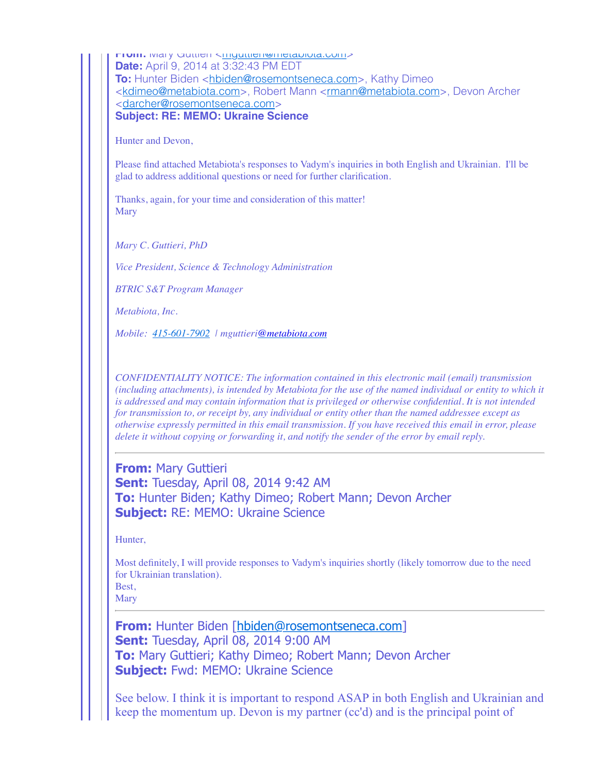From: Mary Guttleri <[mguttieri@metabiota.com>](mailto:mguttieri@metabiota.com) **Date:** April 9, 2014 at 3:32:43 PM EDT **To:** Hunter Biden [<hbiden@rosemontseneca.com](mailto:hbiden@rosemontseneca.com)>, Kathy Dimeo [<kdimeo@metabiota.com>](mailto:kdimeo@metabiota.com), Robert Mann <[rmann@metabiota.com](mailto:rmann@metabiota.com)>, Devon Archer [<darcher@rosemontseneca.com>](mailto:darcher@rosemontseneca.com) **Subject: RE: MEMO: Ukraine Science**

Hunter and Devon,

Please find attached Metabiota's responses to Vadym's inquiries in both English and Ukrainian. I'll be glad to address additional questions or need for further clarification.

Thanks, again, for your time and consideration of this matter! **Mary** 

*Mary C. Guttieri, PhD*

*Vice President, Science & Technology Administration*

*BTRIC S&T Program Manager*

*Metabiota, Inc.*

*Mobile: [415-601-7902](tel:415-601-7902) | mguttieri[@metabiota.com](mailto:kdimeo@metabiota.com)*

*CONFIDENTIALITY NOTICE: The information contained in this electronic mail (email) transmission (including attachments), is intended by Metabiota for the use of the named individual or entity to which it is addressed and may contain information that is privileged or otherwise confidential. It is not intended for transmission to, or receipt by, any individual or entity other than the named addressee except as otherwise expressly permitted in this email transmission. If you have received this email in error, please delete it without copying or forwarding it, and notify the sender of the error by email reply.*

**From:** Mary Guttieri **Sent:** Tuesday, April 08, 2014 9:42 AM **To:** Hunter Biden; Kathy Dimeo; Robert Mann; Devon Archer **Subject:** RE: MEMO: Ukraine Science

Hunter,

Most definitely, I will provide responses to Vadym's inquiries shortly (likely tomorrow due to the need for Ukrainian translation). Best,

**Mary** 

**From:** Hunter Biden [[hbiden@rosemontseneca.com\]](mailto:hbiden@rosemontseneca.com) **Sent:** Tuesday, April 08, 2014 9:00 AM **To:** Mary Guttieri; Kathy Dimeo; Robert Mann; Devon Archer **Subject:** Fwd: MEMO: Ukraine Science

See below. I think it is important to respond ASAP in both English and Ukrainian and keep the momentum up. Devon is my partner (cc'd) and is the principal point of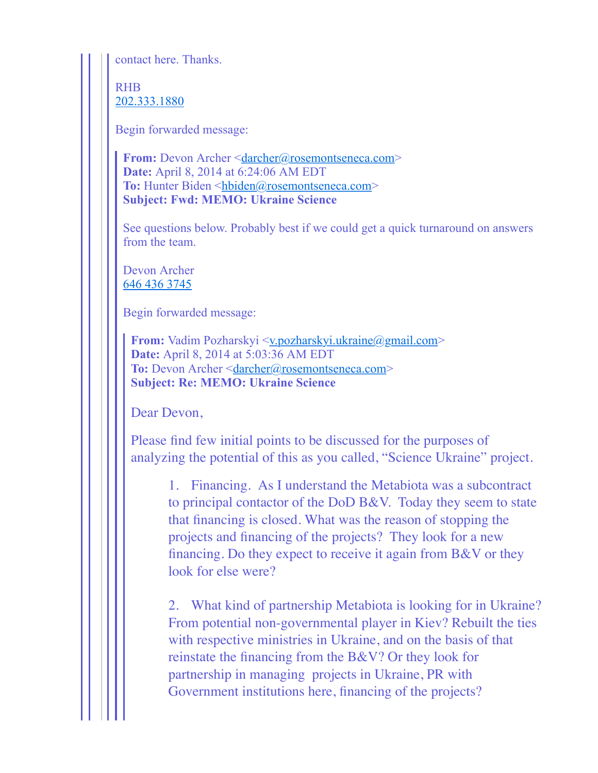contact here. Thanks.

RHB [202.333.1880](tel:202.333.1880)

Begin forwarded message:

**From:** Devon Archer [<darcher@rosemontseneca.com](mailto:darcher@rosemontseneca.com)> **Date:** April 8, 2014 at 6:24:06 AM EDT To: Hunter Biden <[hbiden@rosemontseneca.com>](mailto:hbiden@rosemontseneca.com) **Subject: Fwd: MEMO: Ukraine Science**

See questions below. Probably best if we could get a quick turnaround on answers from the team.

Devon Archer [646 436 3745](tel:646%20436%203745)

Begin forwarded message:

**From:** Vadim Pozharskyi <[v.pozharskyi.ukraine@gmail.com](mailto:v.pozharskyi.ukraine@gmail.com)> **Date:** April 8, 2014 at 5:03:36 AM EDT To: Devon Archer <[darcher@rosemontseneca.com>](mailto:darcher@rosemontseneca.com) **Subject: Re: MEMO: Ukraine Science**

Dear Devon,

Please find few initial points to be discussed for the purposes of analyzing the potential of this as you called, "Science Ukraine" project.

1. Financing. As I understand the Metabiota was a subcontract to principal contactor of the DoD B&V. Today they seem to state that financing is closed. What was the reason of stopping the projects and financing of the projects? They look for a new financing. Do they expect to receive it again from B&V or they look for else were?

2. What kind of partnership Metabiota is looking for in Ukraine? From potential non-governmental player in Kiev? Rebuilt the ties with respective ministries in Ukraine, and on the basis of that reinstate the financing from the B&V? Or they look for partnership in managing projects in Ukraine, PR with Government institutions here, financing of the projects?